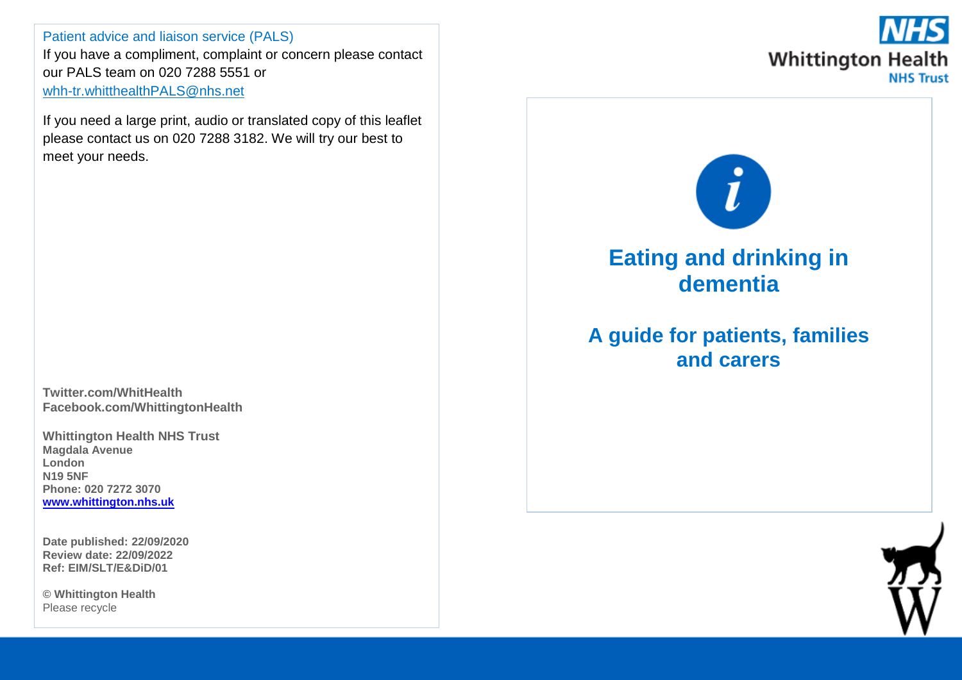Patient advice and liaison service (PALS) If you have a compliment, complaint or concern please contact our PALS team on 020 7288 5551 or [whh-tr.whitthealthPALS@nhs.net](mailto:whh-tr.whitthealthPALS@nhs.net)

If you need a large print, audio or translated copy of this leaflet please contact us on 020 7288 3182. We will try our best to meet your needs.

**Twitter.com/WhitHealth Facebook.com/WhittingtonHealth**

**Whittington Health NHS Trust Magdala Avenue London N19 5NF Phone: 020 7272 3070 [www.whittington.nhs.uk](http://www.whittington.nhs.uk/)**

**Date published: 22/09/2020 Review date: 22/09/2022 Ref: EIM/SLT/E&DiD/01**

**© Whittington Health** Please recycle



# **Eating and drinking in dementia**

## **A guide for patients, families and carers**

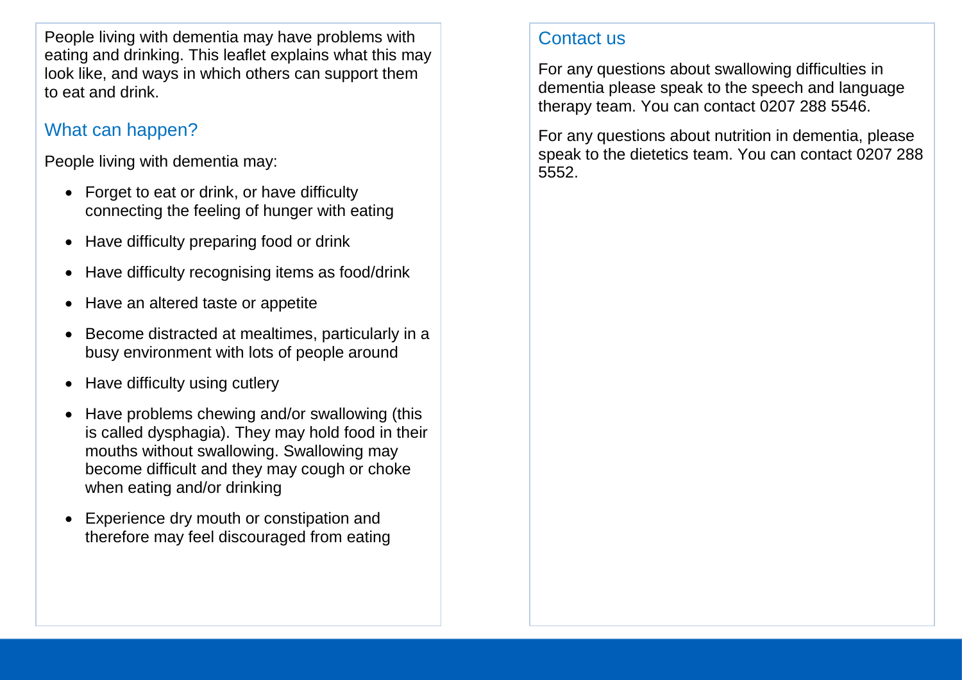People living with dementia may have problems with eating and drinking. This leaflet explains what this may look like, and ways in which others can support them to eat and drink.

## What can happen?

People living with dementia may:

- Forget to eat or drink, or have difficulty connecting the feeling of hunger with eating
- Have difficulty preparing food or drink
- Have difficulty recognising items as food/drink
- Have an altered taste or appetite
- Become distracted at mealtimes, particularly in a busy environment with lots of people around
- Have difficulty using cutlery
- Have problems chewing and/or swallowing (this is called dysphagia). They may hold food in their mouths without swallowing. Swallowing may become difficult and they may cough or choke when eating and/or drinking
- Experience dry mouth or constipation and therefore may feel discouraged from eating

## Contact us

For any questions about swallowing difficulties in dementia please speak to the speech and language therapy team. You can contact 0207 288 5546.

For any questions about nutrition in dementia, please speak to the dietetics team. You can contact 0207 288 5552.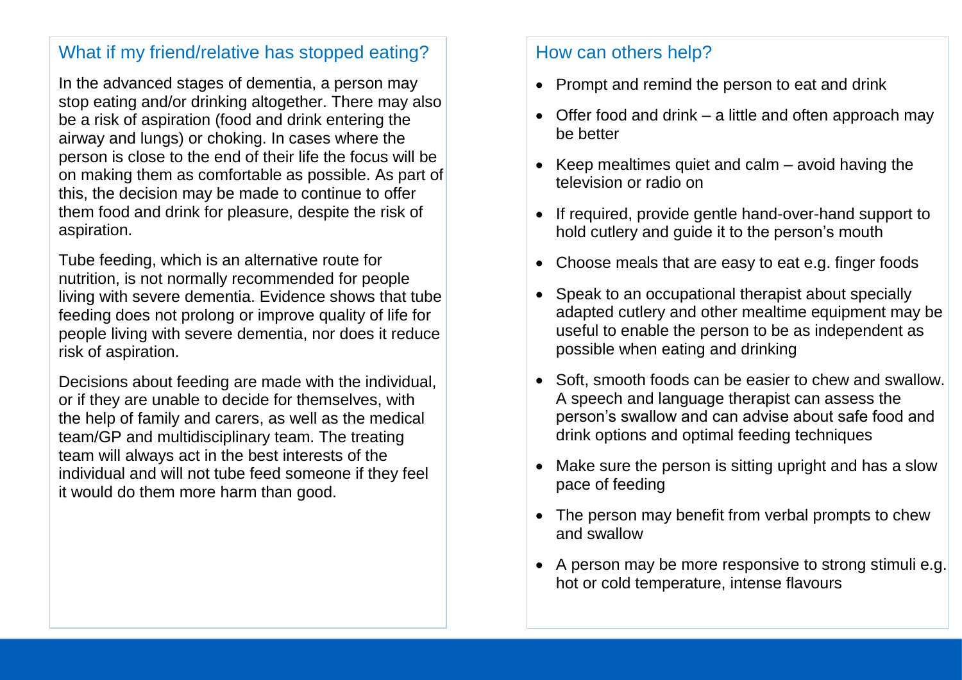#### What if my friend/relative has stopped eating?

In the advanced stages of dementia, a person may stop eating and/or drinking altogether. There may also be a risk of aspiration (food and drink entering the airway and lungs) or choking. In cases where the person is close to the end of their life the focus will be on making them as comfortable as possible. As part of this, the decision may be made to continue to offer them food and drink for pleasure, despite the risk of aspiration.

Tube feeding, which is an alternative route for nutrition, is not normally recommended for people living with severe dementia. Evidence shows that tube feeding does not prolong or improve quality of life for people living with severe dementia, nor does it reduce risk of aspiration.

Decisions about feeding are made with the individual, or if they are unable to decide for themselves, with the help of family and carers, as well as the medical team/GP and multidisciplinary team. The treating team will always act in the best interests of the individual and will not tube feed someone if they feel it would do them more harm than good.

#### How can others help?

- Prompt and remind the person to eat and drink
- Offer food and drink a little and often approach may be better
- $\bullet$  Keep mealtimes quiet and calm avoid having the television or radio on
- If required, provide gentle hand-over-hand support to hold cutlery and guide it to the person's mouth
- Choose meals that are easy to eat e.g. finger foods
- Speak to an occupational therapist about specially adapted cutlery and other mealtime equipment may be useful to enable the person to be as independent as possible when eating and drinking
- Soft, smooth foods can be easier to chew and swallow. A speech and language therapist can assess the person's swallow and can advise about safe food and drink options and optimal feeding techniques
- Make sure the person is sitting upright and has a slow pace of feeding
- The person may benefit from verbal prompts to chew and swallow
- A person may be more responsive to strong stimuli e.g. hot or cold temperature, intense flavours